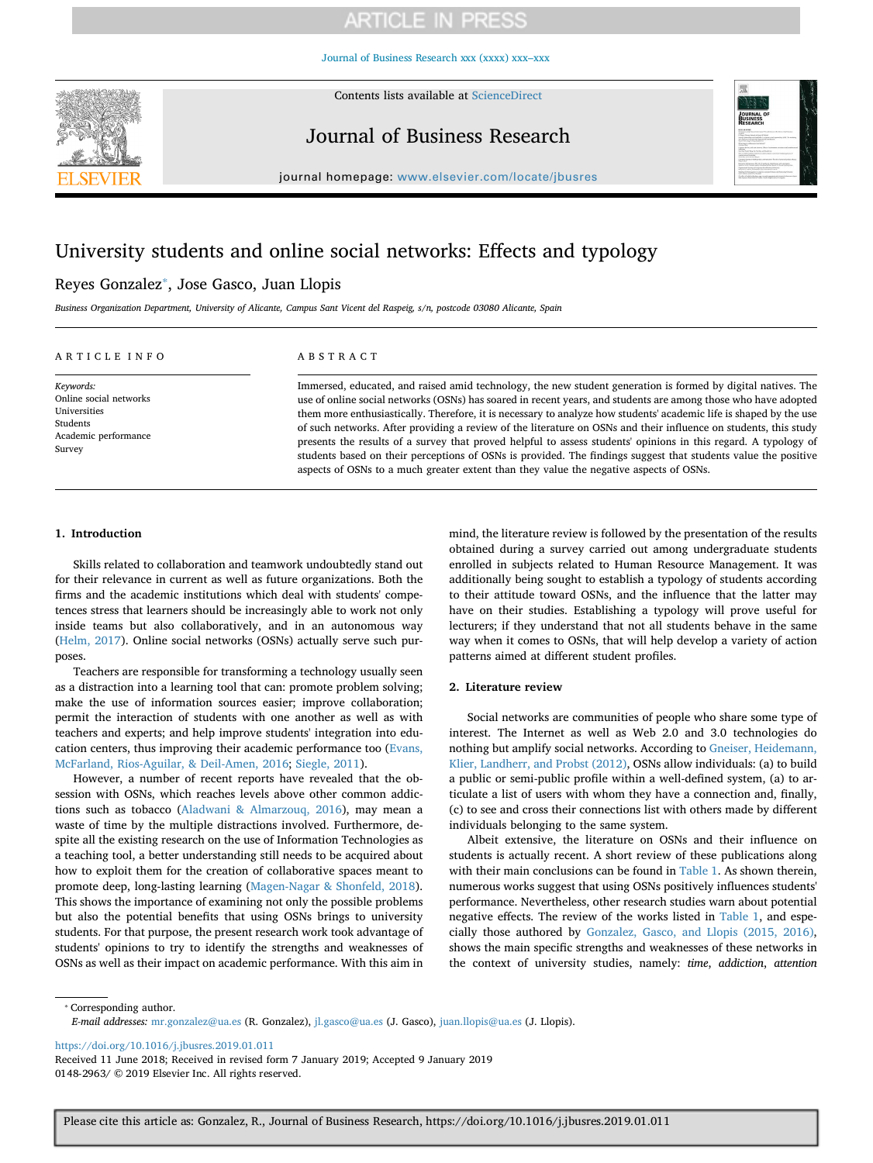[Journal of Business Research xxx \(xxxx\) xxx–xxx](https://doi.org/10.1016/j.jbusres.2019.01.011)



Contents lists available at [ScienceDirect](http://www.sciencedirect.com/science/journal/01482963)

Journal of Business Research



journal homepage: [www.elsevier.com/locate/jbusres](https://www.elsevier.com/locate/jbusres)

## University students and online social networks: Effects and typology

## Reyes Gonzalez[⁎](#page-0-0) , Jose Gasco, Juan Llopis

*Business Organization Department, University of Alicante, Campus Sant Vicent del Raspeig, s/n, postcode 03080 Alicante, Spain*

### ARTICLE INFO

*Keywords:* Online social networks Universities Students Academic performance Survey

### ABSTRACT

Immersed, educated, and raised amid technology, the new student generation is formed by digital natives. The use of online social networks (OSNs) has soared in recent years, and students are among those who have adopted them more enthusiastically. Therefore, it is necessary to analyze how students' academic life is shaped by the use of such networks. After providing a review of the literature on OSNs and their influence on students, this study presents the results of a survey that proved helpful to assess students' opinions in this regard. A typology of students based on their perceptions of OSNs is provided. The findings suggest that students value the positive aspects of OSNs to a much greater extent than they value the negative aspects of OSNs.

#### **1. Introduction**

Skills related to collaboration and teamwork undoubtedly stand out for their relevance in current as well as future organizations. Both the firms and the academic institutions which deal with students' competences stress that learners should be increasingly able to work not only inside teams but also collaboratively, and in an autonomous way ([Helm, 2017\)](#page-7-0). Online social networks (OSNs) actually serve such purposes.

Teachers are responsible for transforming a technology usually seen as a distraction into a learning tool that can: promote problem solving; make the use of information sources easier; improve collaboration; permit the interaction of students with one another as well as with teachers and experts; and help improve students' integration into education centers, thus improving their academic performance too ([Evans,](#page-7-1) [McFarland, Rios-Aguilar, & Deil-Amen, 2016](#page-7-1); [Siegle, 2011\)](#page-7-2).

However, a number of recent reports have revealed that the obsession with OSNs, which reaches levels above other common addictions such as tobacco ([Aladwani & Almarzouq, 2016](#page-7-3)), may mean a waste of time by the multiple distractions involved. Furthermore, despite all the existing research on the use of Information Technologies as a teaching tool, a better understanding still needs to be acquired about how to exploit them for the creation of collaborative spaces meant to promote deep, long-lasting learning ([Magen-Nagar & Shonfeld, 2018](#page-7-4)). This shows the importance of examining not only the possible problems but also the potential benefits that using OSNs brings to university students. For that purpose, the present research work took advantage of students' opinions to try to identify the strengths and weaknesses of OSNs as well as their impact on academic performance. With this aim in mind, the literature review is followed by the presentation of the results obtained during a survey carried out among undergraduate students enrolled in subjects related to Human Resource Management. It was additionally being sought to establish a typology of students according to their attitude toward OSNs, and the influence that the latter may have on their studies. Establishing a typology will prove useful for lecturers; if they understand that not all students behave in the same way when it comes to OSNs, that will help develop a variety of action patterns aimed at different student profiles.

#### **2. Literature review**

Social networks are communities of people who share some type of interest. The Internet as well as Web 2.0 and 3.0 technologies do nothing but amplify social networks. According to [Gneiser, Heidemann,](#page-7-5) [Klier, Landherr, and Probst \(2012\),](#page-7-5) OSNs allow individuals: (a) to build a public or semi-public profile within a well-defined system, (a) to articulate a list of users with whom they have a connection and, finally, (c) to see and cross their connections list with others made by different individuals belonging to the same system.

Albeit extensive, the literature on OSNs and their influence on students is actually recent. A short review of these publications along with their main conclusions can be found in [Table 1.](#page-1-0) As shown therein, numerous works suggest that using OSNs positively influences students' performance. Nevertheless, other research studies warn about potential negative effects. The review of the works listed in [Table 1](#page-1-0), and especially those authored by [Gonzalez, Gasco, and Llopis \(2015, 2016\)](#page-7-6), shows the main specific strengths and weaknesses of these networks in the context of university studies, namely: *time*, *addiction*, *attention*

<span id="page-0-0"></span>⁎ Corresponding author.

*E-mail addresses:* [mr.gonzalez@ua.es](mailto:mr.gonzalez@ua.es) (R. Gonzalez), [jl.gasco@ua.es](mailto:jl.gasco@ua.es) (J. Gasco), [juan.llopis@ua.es](mailto:juan.llopis@ua.es) (J. Llopis).

<https://doi.org/10.1016/j.jbusres.2019.01.011>

Received 11 June 2018; Received in revised form 7 January 2019; Accepted 9 January 2019 0148-2963/ © 2019 Elsevier Inc. All rights reserved.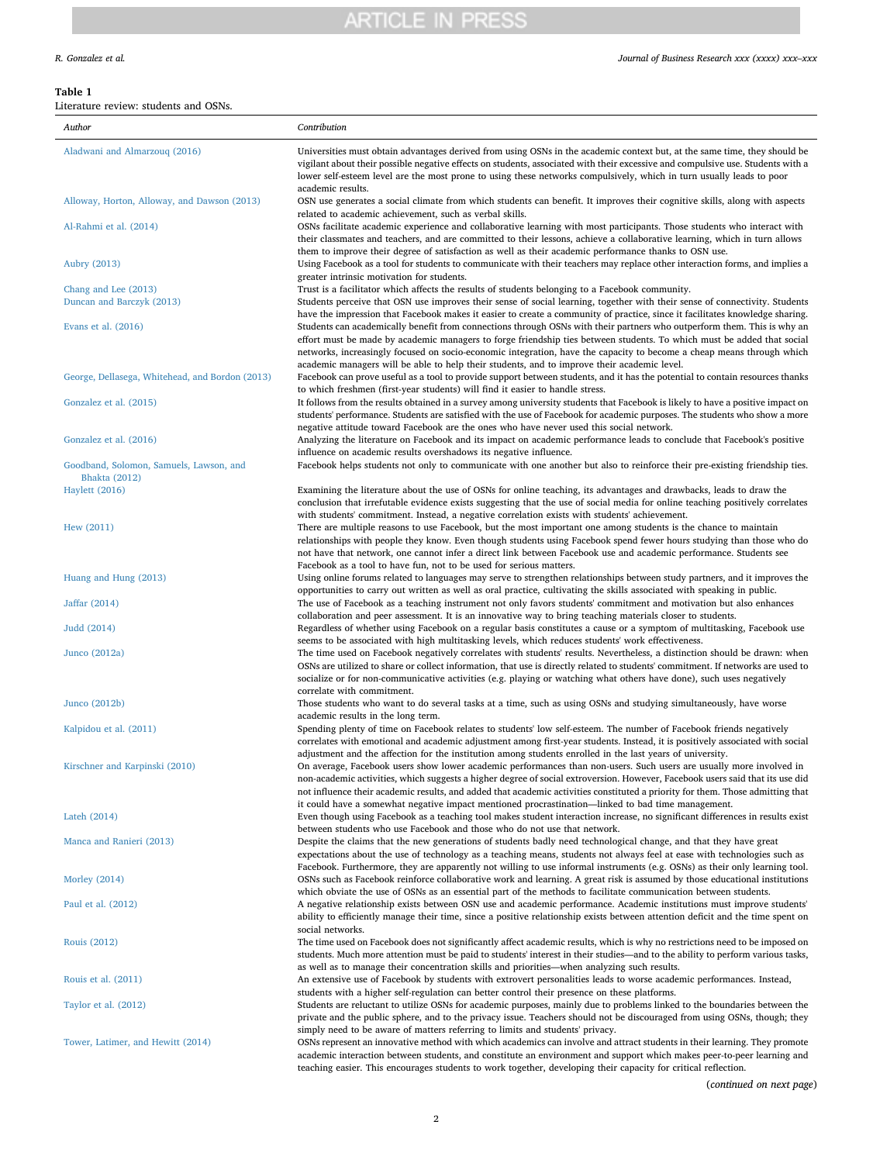### <span id="page-1-0"></span>**Table 1**

 $\mathbb{R}^2$ 

| Literature review: students and OSNs.                           |                                                                                                                                                                                                                                                                                                                                                                                                                                                                                                     |
|-----------------------------------------------------------------|-----------------------------------------------------------------------------------------------------------------------------------------------------------------------------------------------------------------------------------------------------------------------------------------------------------------------------------------------------------------------------------------------------------------------------------------------------------------------------------------------------|
| Author                                                          | Contribution                                                                                                                                                                                                                                                                                                                                                                                                                                                                                        |
| Aladwani and Almarzouq (2016)                                   | Universities must obtain advantages derived from using OSNs in the academic context but, at the same time, they should be<br>vigilant about their possible negative effects on students, associated with their excessive and compulsive use. Students with a<br>lower self-esteem level are the most prone to using these networks compulsively, which in turn usually leads to poor<br>academic results.                                                                                           |
| Alloway, Horton, Alloway, and Dawson (2013)                     | OSN use generates a social climate from which students can benefit. It improves their cognitive skills, along with aspects<br>related to academic achievement, such as verbal skills.                                                                                                                                                                                                                                                                                                               |
| Al-Rahmi et al. (2014)                                          | OSNs facilitate academic experience and collaborative learning with most participants. Those students who interact with<br>their classmates and teachers, and are committed to their lessons, achieve a collaborative learning, which in turn allows<br>them to improve their degree of satisfaction as well as their academic performance thanks to OSN use.                                                                                                                                       |
| Aubry (2013)                                                    | Using Facebook as a tool for students to communicate with their teachers may replace other interaction forms, and implies a<br>greater intrinsic motivation for students.                                                                                                                                                                                                                                                                                                                           |
| Chang and Lee (2013)<br>Duncan and Barczyk (2013)               | Trust is a facilitator which affects the results of students belonging to a Facebook community.<br>Students perceive that OSN use improves their sense of social learning, together with their sense of connectivity. Students<br>have the impression that Facebook makes it easier to create a community of practice, since it facilitates knowledge sharing.                                                                                                                                      |
| Evans et al. $(2016)$                                           | Students can academically benefit from connections through OSNs with their partners who outperform them. This is why an<br>effort must be made by academic managers to forge friendship ties between students. To which must be added that social<br>networks, increasingly focused on socio-economic integration, have the capacity to become a cheap means through which<br>academic managers will be able to help their students, and to improve their academic level.                           |
| George, Dellasega, Whitehead, and Bordon (2013)                 | Facebook can prove useful as a tool to provide support between students, and it has the potential to contain resources thanks<br>to which freshmen (first-year students) will find it easier to handle stress.                                                                                                                                                                                                                                                                                      |
| Gonzalez et al. (2015)                                          | It follows from the results obtained in a survey among university students that Facebook is likely to have a positive impact on<br>students' performance. Students are satisfied with the use of Facebook for academic purposes. The students who show a more                                                                                                                                                                                                                                       |
| Gonzalez et al. (2016)                                          | negative attitude toward Facebook are the ones who have never used this social network.<br>Analyzing the literature on Facebook and its impact on academic performance leads to conclude that Facebook's positive<br>influence on academic results overshadows its negative influence.                                                                                                                                                                                                              |
| Goodband, Solomon, Samuels, Lawson, and<br><b>Bhakta</b> (2012) | Facebook helps students not only to communicate with one another but also to reinforce their pre-existing friendship ties.                                                                                                                                                                                                                                                                                                                                                                          |
| <b>Haylett</b> (2016)                                           | Examining the literature about the use of OSNs for online teaching, its advantages and drawbacks, leads to draw the<br>conclusion that irrefutable evidence exists suggesting that the use of social media for online teaching positively correlates<br>with students' commitment. Instead, a negative correlation exists with students' achievement.                                                                                                                                               |
| Hew (2011)                                                      | There are multiple reasons to use Facebook, but the most important one among students is the chance to maintain<br>relationships with people they know. Even though students using Facebook spend fewer hours studying than those who do<br>not have that network, one cannot infer a direct link between Facebook use and academic performance. Students see<br>Facebook as a tool to have fun, not to be used for serious matters.                                                                |
| Huang and Hung (2013)                                           | Using online forums related to languages may serve to strengthen relationships between study partners, and it improves the<br>opportunities to carry out written as well as oral practice, cultivating the skills associated with speaking in public.                                                                                                                                                                                                                                               |
| Jaffar (2014)                                                   | The use of Facebook as a teaching instrument not only favors students' commitment and motivation but also enhances<br>collaboration and peer assessment. It is an innovative way to bring teaching materials closer to students.                                                                                                                                                                                                                                                                    |
| Judd (2014)                                                     | Regardless of whether using Facebook on a regular basis constitutes a cause or a symptom of multitasking, Facebook use<br>seems to be associated with high multitasking levels, which reduces students' work effectiveness.                                                                                                                                                                                                                                                                         |
| Junco (2012a)                                                   | The time used on Facebook negatively correlates with students' results. Nevertheless, a distinction should be drawn: when<br>OSNs are utilized to share or collect information, that use is directly related to students' commitment. If networks are used to<br>socialize or for non-communicative activities (e.g. playing or watching what others have done), such uses negatively<br>correlate with commitment.                                                                                 |
| Junco $(2012b)$                                                 | Those students who want to do several tasks at a time, such as using OSNs and studying simultaneously, have worse<br>academic results in the long term.                                                                                                                                                                                                                                                                                                                                             |
| Kalpidou et al. (2011)                                          | Spending plenty of time on Facebook relates to students' low self-esteem. The number of Facebook friends negatively<br>correlates with emotional and academic adjustment among first-year students. Instead, it is positively associated with social                                                                                                                                                                                                                                                |
| Kirschner and Karpinski (2010)                                  | adjustment and the affection for the institution among students enrolled in the last years of university.<br>On average, Facebook users show lower academic performances than non-users. Such users are usually more involved in<br>non-academic activities, which suggests a higher degree of social extroversion. However, Facebook users said that its use did<br>not influence their academic results, and added that academic activities constituted a priority for them. Those admitting that |
| Lateh (2014)                                                    | it could have a somewhat negative impact mentioned procrastination—linked to bad time management.<br>Even though using Facebook as a teaching tool makes student interaction increase, no significant differences in results exist<br>between students who use Facebook and those who do not use that network.                                                                                                                                                                                      |
| Manca and Ranieri (2013)                                        | Despite the claims that the new generations of students badly need technological change, and that they have great<br>expectations about the use of technology as a teaching means, students not always feel at ease with technologies such as                                                                                                                                                                                                                                                       |
| <b>Morley</b> (2014)                                            | Facebook. Furthermore, they are apparently not willing to use informal instruments (e.g. OSNs) as their only learning tool.<br>OSNs such as Facebook reinforce collaborative work and learning. A great risk is assumed by those educational institutions<br>which obviate the use of OSNs as an essential part of the methods to facilitate communication between students.                                                                                                                        |
| Paul et al. (2012)                                              | A negative relationship exists between OSN use and academic performance. Academic institutions must improve students'<br>ability to efficiently manage their time, since a positive relationship exists between attention deficit and the time spent on<br>social networks.                                                                                                                                                                                                                         |
| Rouis (2012)                                                    | The time used on Facebook does not significantly affect academic results, which is why no restrictions need to be imposed on<br>students. Much more attention must be paid to students' interest in their studies—and to the ability to perform various tasks,                                                                                                                                                                                                                                      |
| Rouis et al. (2011)                                             | as well as to manage their concentration skills and priorities—when analyzing such results.<br>An extensive use of Facebook by students with extrovert personalities leads to worse academic performances. Instead,<br>students with a higher self-regulation can better control their presence on these platforms.                                                                                                                                                                                 |
| Taylor et al. (2012)                                            | Students are reluctant to utilize OSNs for academic purposes, mainly due to problems linked to the boundaries between the<br>private and the public sphere, and to the privacy issue. Teachers should not be discouraged from using OSNs, though; they<br>simply need to be aware of matters referring to limits and students' privacy.                                                                                                                                                             |

[Tower, Latimer, and Hewitt \(2014\)](#page-7-31) OSNs represent an innovative method with which academics can involve and attract students in their learning. They promote academic interaction between students, and constitute an environment and support which makes peer-to-peer learning and teaching easier. This encourages students to work together, developing their capacity for critical reflection.

(*continued on next page*)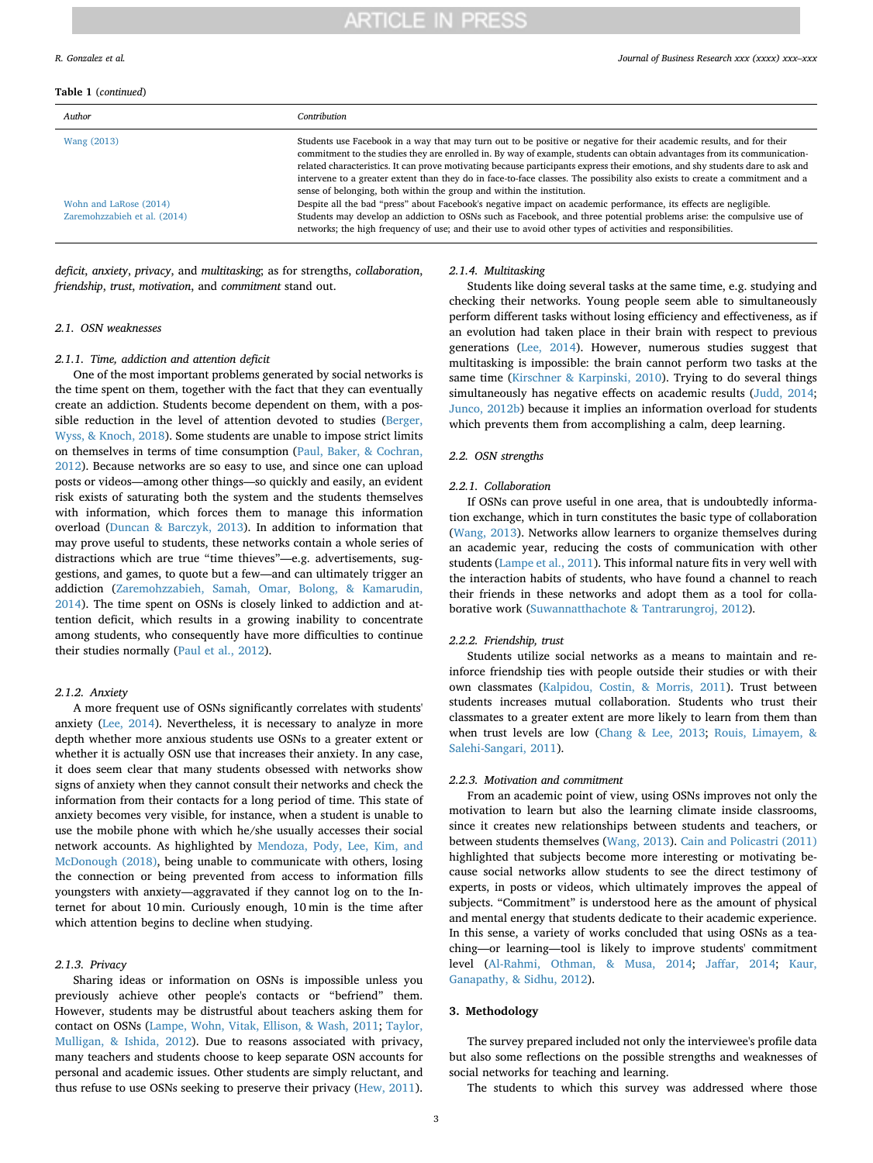#### **Table 1** (*continued*)

| Author                                                                | Contribution                                                                                                                                                                                                                                                                                                                                                                                                                                                                                                                                                                                                                                                                                                                                                                                                                                                                                                                                               |
|-----------------------------------------------------------------------|------------------------------------------------------------------------------------------------------------------------------------------------------------------------------------------------------------------------------------------------------------------------------------------------------------------------------------------------------------------------------------------------------------------------------------------------------------------------------------------------------------------------------------------------------------------------------------------------------------------------------------------------------------------------------------------------------------------------------------------------------------------------------------------------------------------------------------------------------------------------------------------------------------------------------------------------------------|
| Wang (2013)<br>Wohn and LaRose (2014)<br>Zaremohzzabieh et al. (2014) | Students use Facebook in a way that may turn out to be positive or negative for their academic results, and for their<br>commitment to the studies they are enrolled in. By way of example, students can obtain advantages from its communication-<br>related characteristics. It can prove motivating because participants express their emotions, and shy students dare to ask and<br>intervene to a greater extent than they do in face-to-face classes. The possibility also exists to create a commitment and a<br>sense of belonging, both within the group and within the institution.<br>Despite all the bad "press" about Facebook's negative impact on academic performance, its effects are negligible.<br>Students may develop an addiction to OSNs such as Facebook, and three potential problems arise: the compulsive use of<br>networks; the high frequency of use; and their use to avoid other types of activities and responsibilities. |

**ARTICLE IN PRESS** 

*deficit*, *anxiety*, *privacy*, and *multitasking*; as for strengths, *collaboration*, *friendship*, *trust*, *motivation*, and *commitment* stand out.

#### *2.1. OSN weaknesses*

#### *2.1.1. Time, addiction and attention deficit*

One of the most important problems generated by social networks is the time spent on them, together with the fact that they can eventually create an addiction. Students become dependent on them, with a possible reduction in the level of attention devoted to studies [\(Berger,](#page-7-32) [Wyss, & Knoch, 2018\)](#page-7-32). Some students are unable to impose strict limits on themselves in terms of time consumption ([Paul, Baker, & Cochran,](#page-7-27) [2012\)](#page-7-27). Because networks are so easy to use, and since one can upload posts or videos—among other things—so quickly and easily, an evident risk exists of saturating both the system and the students themselves with information, which forces them to manage this information overload ([Duncan & Barczyk, 2013](#page-7-11)). In addition to information that may prove useful to students, these networks contain a whole series of distractions which are true "time thieves"—e.g. advertisements, suggestions, and games, to quote but a few—and can ultimately trigger an addiction [\(Zaremohzzabieh, Samah, Omar, Bolong, & Kamarudin,](#page-7-33) [2014\)](#page-7-33). The time spent on OSNs is closely linked to addiction and attention deficit, which results in a growing inability to concentrate among students, who consequently have more difficulties to continue their studies normally [\(Paul et al., 2012](#page-7-27)).

#### *2.1.2. Anxiety*

A more frequent use of OSNs significantly correlates with students' anxiety ([Lee, 2014\)](#page-7-34). Nevertheless, it is necessary to analyze in more depth whether more anxious students use OSNs to a greater extent or whether it is actually OSN use that increases their anxiety. In any case, it does seem clear that many students obsessed with networks show signs of anxiety when they cannot consult their networks and check the information from their contacts for a long period of time. This state of anxiety becomes very visible, for instance, when a student is unable to use the mobile phone with which he/she usually accesses their social network accounts. As highlighted by [Mendoza, Pody, Lee, Kim, and](#page-7-35) [McDonough \(2018\)](#page-7-35), being unable to communicate with others, losing the connection or being prevented from access to information fills youngsters with anxiety—aggravated if they cannot log on to the Internet for about 10 min. Curiously enough, 10 min is the time after which attention begins to decline when studying.

### *2.1.3. Privacy*

Sharing ideas or information on OSNs is impossible unless you previously achieve other people's contacts or "befriend" them. However, students may be distrustful about teachers asking them for contact on OSNs [\(Lampe, Wohn, Vitak, Ellison, & Wash, 2011;](#page-7-36) [Taylor,](#page-7-30) [Mulligan, & Ishida, 2012\)](#page-7-30). Due to reasons associated with privacy, many teachers and students choose to keep separate OSN accounts for personal and academic issues. Other students are simply reluctant, and thus refuse to use OSNs seeking to preserve their privacy ([Hew, 2011](#page-7-16)).

### *2.1.4. Multitasking*

Students like doing several tasks at the same time, e.g. studying and checking their networks. Young people seem able to simultaneously perform different tasks without losing efficiency and effectiveness, as if an evolution had taken place in their brain with respect to previous generations ([Lee, 2014](#page-7-34)). However, numerous studies suggest that multitasking is impossible: the brain cannot perform two tasks at the same time [\(Kirschner & Karpinski, 2010\)](#page-7-23). Trying to do several things simultaneously has negative effects on academic results ([Judd, 2014](#page-7-19); [Junco, 2012b\)](#page-7-21) because it implies an information overload for students which prevents them from accomplishing a calm, deep learning.

#### *2.2. OSN strengths*

#### *2.2.1. Collaboration*

If OSNs can prove useful in one area, that is undoubtedly information exchange, which in turn constitutes the basic type of collaboration ([Wang, 2013\)](#page-7-37). Networks allow learners to organize themselves during an academic year, reducing the costs of communication with other students ([Lampe et al., 2011](#page-7-36)). This informal nature fits in very well with the interaction habits of students, who have found a channel to reach their friends in these networks and adopt them as a tool for collaborative work [\(Suwannatthachote & Tantrarungroj, 2012](#page-7-38)).

#### *2.2.2. Friendship, trust*

Students utilize social networks as a means to maintain and reinforce friendship ties with people outside their studies or with their own classmates ([Kalpidou, Costin, & Morris, 2011\)](#page-7-22). Trust between students increases mutual collaboration. Students who trust their classmates to a greater extent are more likely to learn from them than when trust levels are low [\(Chang & Lee, 2013](#page-7-10); [Rouis, Limayem, &](#page-7-29) [Salehi-Sangari, 2011\)](#page-7-29).

#### *2.2.3. Motivation and commitment*

From an academic point of view, using OSNs improves not only the motivation to learn but also the learning climate inside classrooms, since it creates new relationships between students and teachers, or between students themselves [\(Wang, 2013\)](#page-7-37). [Cain and Policastri \(2011\)](#page-7-39) highlighted that subjects become more interesting or motivating because social networks allow students to see the direct testimony of experts, in posts or videos, which ultimately improves the appeal of subjects. "Commitment" is understood here as the amount of physical and mental energy that students dedicate to their academic experience. In this sense, a variety of works concluded that using OSNs as a teaching—or learning—tool is likely to improve students' commitment level [\(Al-Rahmi, Othman, & Musa, 2014](#page-7-8); [Jaffar, 2014](#page-7-18); [Kaur,](#page-7-40) [Ganapathy, & Sidhu, 2012\)](#page-7-40).

#### **3. Methodology**

The survey prepared included not only the interviewee's profile data but also some reflections on the possible strengths and weaknesses of social networks for teaching and learning.

The students to which this survey was addressed where those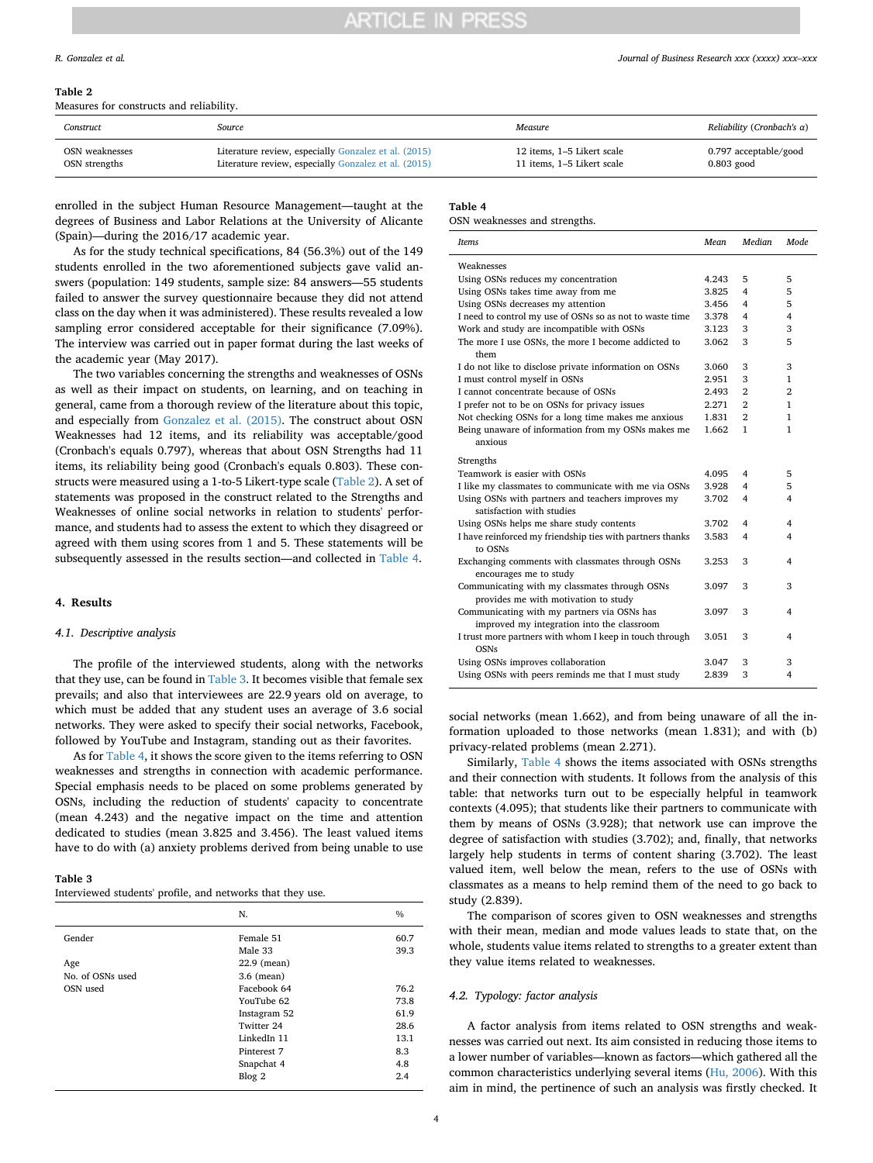#### <span id="page-3-0"></span>**Table 2**

Measures for constructs and reliability.

| Construct      | Source                                               | Measure                    | Reliability (Cronbach's $\alpha$ ) |
|----------------|------------------------------------------------------|----------------------------|------------------------------------|
| OSN weaknesses | Literature review, especially Gonzalez et al. (2015) | 12 items, 1–5 Likert scale | 0.797 acceptable/good              |
| OSN strengths  | Literature review, especially Gonzalez et al. (2015) | 11 items, 1–5 Likert scale | $0.803$ good                       |

enrolled in the subject Human Resource Management—taught at the degrees of Business and Labor Relations at the University of Alicante (Spain)—during the 2016/17 academic year.

As for the study technical specifications, 84 (56.3%) out of the 149 students enrolled in the two aforementioned subjects gave valid answers (population: 149 students, sample size: 84 answers—55 students failed to answer the survey questionnaire because they did not attend class on the day when it was administered). These results revealed a low sampling error considered acceptable for their significance (7.09%). The interview was carried out in paper format during the last weeks of the academic year (May 2017).

The two variables concerning the strengths and weaknesses of OSNs as well as their impact on students, on learning, and on teaching in general, came from a thorough review of the literature about this topic, and especially from [Gonzalez et al. \(2015\)](#page-7-6). The construct about OSN Weaknesses had 12 items, and its reliability was acceptable/good (Cronbach's equals 0.797), whereas that about OSN Strengths had 11 items, its reliability being good (Cronbach's equals 0.803). These constructs were measured using a 1-to-5 Likert-type scale ([Table 2\)](#page-3-0). A set of statements was proposed in the construct related to the Strengths and Weaknesses of online social networks in relation to students' performance, and students had to assess the extent to which they disagreed or agreed with them using scores from 1 and 5. These statements will be subsequently assessed in the results section—and collected in [Table 4.](#page-3-1)

#### **4. Results**

#### *4.1. Descriptive analysis*

The profile of the interviewed students, along with the networks that they use, can be found in [Table 3.](#page-3-2) It becomes visible that female sex prevails; and also that interviewees are 22.9 years old on average, to which must be added that any student uses an average of 3.6 social networks. They were asked to specify their social networks, Facebook, followed by YouTube and Instagram, standing out as their favorites.

As for [Table 4,](#page-3-1) it shows the score given to the items referring to OSN weaknesses and strengths in connection with academic performance. Special emphasis needs to be placed on some problems generated by OSNs, including the reduction of students' capacity to concentrate (mean 4.243) and the negative impact on the time and attention dedicated to studies (mean 3.825 and 3.456). The least valued items have to do with (a) anxiety problems derived from being unable to use

#### <span id="page-3-2"></span>**Table 3**

| Interviewed students' profile, and networks that they use. |  |  |  |
|------------------------------------------------------------|--|--|--|
|------------------------------------------------------------|--|--|--|

|                  | N.           | $\frac{0}{0}$ |
|------------------|--------------|---------------|
| Gender           | Female 51    | 60.7          |
|                  | Male 33      | 39.3          |
| Age              | 22.9 (mean)  |               |
| No. of OSNs used | $3.6$ (mean) |               |
| OSN used         | Facebook 64  | 76.2          |
|                  | YouTube 62   | 73.8          |
|                  | Instagram 52 | 61.9          |
|                  | Twitter 24   | 28.6          |
|                  | LinkedIn 11  | 13.1          |
|                  | Pinterest 7  | 8.3           |
|                  | Snapchat 4   | 4.8           |
|                  | Blog 2       | 2.4           |

#### <span id="page-3-1"></span>**Table 4**

#### OSN weaknesses and strengths.

| Items                                                                                     | Mean  | Median         | <b>Mode</b>    |
|-------------------------------------------------------------------------------------------|-------|----------------|----------------|
| Weaknesses                                                                                |       |                |                |
| Using OSNs reduces my concentration                                                       | 4.243 | 5              | 5              |
| Using OSNs takes time away from me                                                        | 3.825 | 4              | 5              |
| Using OSNs decreases my attention                                                         | 3.456 | 4              | 5              |
| I need to control my use of OSNs so as not to waste time                                  | 3.378 | 4              | $\overline{4}$ |
| Work and study are incompatible with OSNs                                                 | 3.123 | 3              | 3              |
| The more I use OSNs, the more I become addicted to<br>them                                | 3.062 | 3              | 5              |
| I do not like to disclose private information on OSNs                                     | 3.060 | 3              | 3              |
| I must control myself in OSNs                                                             | 2.951 | 3              | 1              |
| I cannot concentrate because of OSNs                                                      | 2.493 | $\overline{2}$ | $\overline{2}$ |
| I prefer not to be on OSNs for privacy issues                                             | 2.271 | $\mathbf{2}$   | 1              |
| Not checking OSNs for a long time makes me anxious                                        | 1.831 | $\mathbf{2}$   | 1              |
| Being unaware of information from my OSNs makes me                                        | 1.662 | 1              | 1              |
| anxious                                                                                   |       |                |                |
| Strengths                                                                                 |       |                |                |
| Teamwork is easier with OSNs                                                              | 4.095 | 4              | 5              |
| I like my classmates to communicate with me via OSNs                                      | 3.928 | 4              | 5              |
| Using OSNs with partners and teachers improves my<br>satisfaction with studies            | 3.702 | 4              | 4              |
| Using OSNs helps me share study contents                                                  | 3.702 | 4              | 4              |
| I have reinforced my friendship ties with partners thanks                                 | 3.583 | 4              | 4              |
| to OSNs                                                                                   |       |                |                |
| Exchanging comments with classmates through OSNs<br>encourages me to study                | 3.253 | 3              | 4              |
| Communicating with my classmates through OSNs                                             | 3.097 | 3              | 3              |
| provides me with motivation to study                                                      |       |                |                |
| Communicating with my partners via OSNs has<br>improved my integration into the classroom | 3.097 | 3              | 4              |
| I trust more partners with whom I keep in touch through<br><b>OSNs</b>                    | 3.051 | 3              | 4              |
| Using OSNs improves collaboration                                                         | 3.047 | 3              | 3              |
| Using OSNs with peers reminds me that I must study                                        | 2.839 | 3              | 4              |
|                                                                                           |       |                |                |

social networks (mean 1.662), and from being unaware of all the information uploaded to those networks (mean 1.831); and with (b) privacy-related problems (mean 2.271).

Similarly, [Table 4](#page-3-1) shows the items associated with OSNs strengths and their connection with students. It follows from the analysis of this table: that networks turn out to be especially helpful in teamwork contexts (4.095); that students like their partners to communicate with them by means of OSNs (3.928); that network use can improve the degree of satisfaction with studies (3.702); and, finally, that networks largely help students in terms of content sharing (3.702). The least valued item, well below the mean, refers to the use of OSNs with classmates as a means to help remind them of the need to go back to study (2.839).

The comparison of scores given to OSN weaknesses and strengths with their mean, median and mode values leads to state that, on the whole, students value items related to strengths to a greater extent than they value items related to weaknesses.

#### *4.2. Typology: factor analysis*

A factor analysis from items related to OSN strengths and weaknesses was carried out next. Its aim consisted in reducing those items to a lower number of variables—known as factors—which gathered all the common characteristics underlying several items ([Hu, 2006\)](#page-7-42). With this aim in mind, the pertinence of such an analysis was firstly checked. It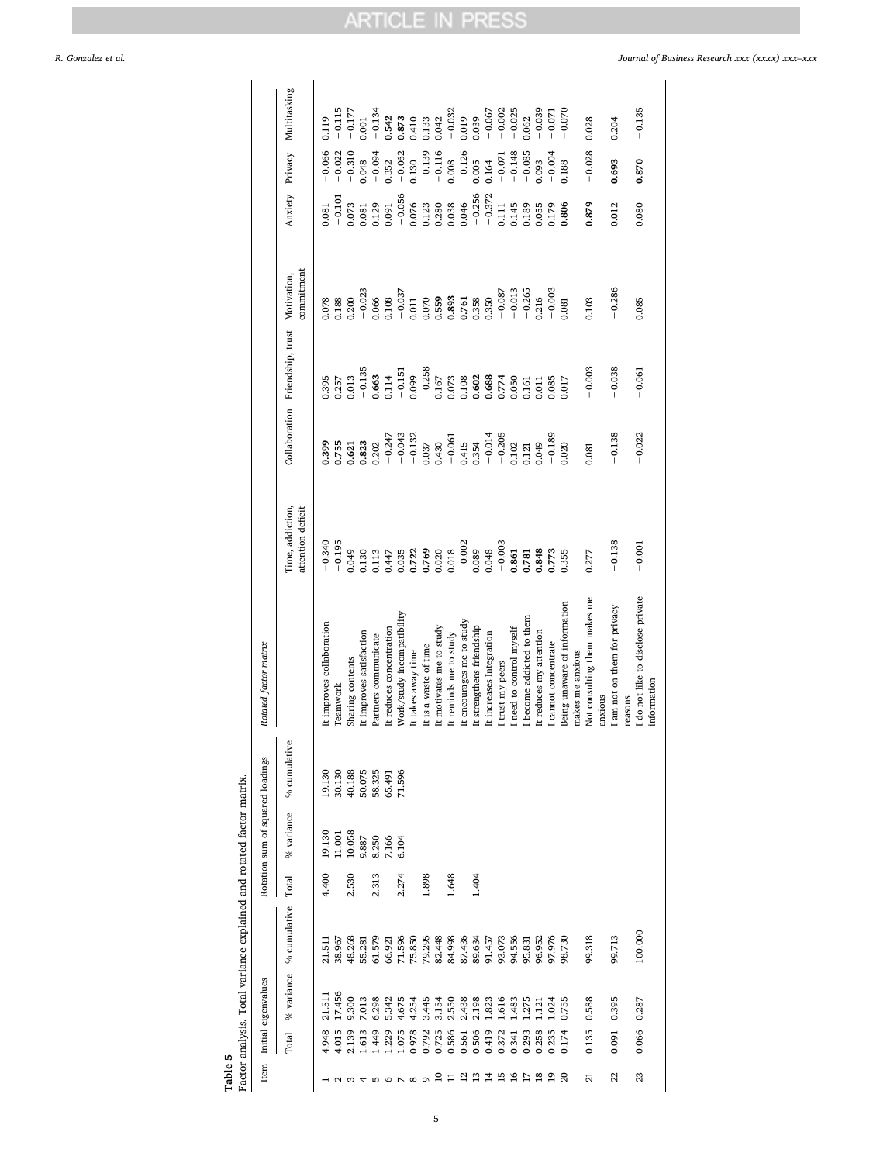### *R. Gonzalez et al. Journal of Business Research xxx (xxxx) xxx–xxx*

|       | . and r                                  |
|-------|------------------------------------------|
|       | actor analysis. Total variance explained |
|       |                                          |
|       |                                          |
|       |                                          |
|       |                                          |
|       |                                          |
|       |                                          |
|       |                                          |
|       |                                          |
|       |                                          |
|       |                                          |
| able. |                                          |
|       |                                          |
|       |                                          |

| --------        |
|-----------------|
|                 |
|                 |
|                 |
| arm cinco con d |
| ,,,,,,,,,,,,,   |
| $\frac{1}{2}$   |
| i               |
|                 |

<span id="page-4-0"></span>

| Item                          |       | Initial eigenvalues |              |       | Rotation sum of squared loadings |              | Rotated factor matrix             |                                       |                      |                                             |                                               |          |                      |                                                         |
|-------------------------------|-------|---------------------|--------------|-------|----------------------------------|--------------|-----------------------------------|---------------------------------------|----------------------|---------------------------------------------|-----------------------------------------------|----------|----------------------|---------------------------------------------------------|
|                               | Total | % variance          | % cumulative | Total | % variance                       | % cumulative |                                   | Time, addiction,<br>attention deficit |                      | Collaboration Friendship, trust Motivation, | commitment                                    |          |                      | Anxiety Privacy Multitasking                            |
|                               | 4.948 | 21.511              | 21.511       | 4.400 | 19.130                           | 19.130       | It improves collaboration         | $-0.340$                              | 0.399                | 1.395                                       | 0.78                                          | 0.081    | $-0.066$             | 0.119                                                   |
|                               | 4.015 | 17.456              | 38.967       |       | 11.001                           | 30.130       | Teamwork                          | $-0.195$                              | 0.755                | 1.257                                       | 1.188                                         | $-0.101$ | $-0.022$             | $-0.115$                                                |
|                               | 2.139 | 9.300               | 48.268       | 2.530 | 10.058                           | 40.188       | Sharing contents                  | 0.049                                 | 0.621                | 0.013                                       | 0.200                                         | 0.073    | $-0.310$             | $-0.177$                                                |
|                               | 1.613 | 7.013               | 55.281       |       | 9.887                            | 50.075       | It improves satisfaction          | 0.130                                 | 0.823                | $-0.135$                                    | $-0.023$                                      | 0.081    | 0.048                | 0.001                                                   |
|                               | 1.449 | 6.298               | 61.579       | 2.313 | 8.250                            | 58.325       | Partners communicate              | 0.113                                 | 0.202                | 1.663                                       | 0.066                                         | 0.129    | $-0.094$             |                                                         |
|                               | 1.229 | 5.342               | 66.921       |       | 7.166                            | 65.491       | It reduces concentration          | 0.447                                 | $-0.247$             | 0.114                                       | 0.108                                         | 0.091    | 0.352                | $-0.134$<br>0.542                                       |
|                               | 1.075 | 4.675               | 71.596       | 2.274 | 6.104                            | 71.596       | Work/study incompatibility        |                                       |                      | $-0.151$                                    | $\begin{array}{c} -0.037 \ 0.011 \end{array}$ | $-0.056$ | $-0.062$             |                                                         |
|                               | 0.978 | 4.254               | 75.850       |       |                                  |              | It takes away time                | 0.035<br>0.722<br>0.769               | $-0.043$<br>$-0.132$ | 0.099                                       |                                               | 0.076    | 0.130                | $\begin{array}{c} 0.873 \\ 0.410 \\ 0.133 \end{array}$  |
|                               | 0.792 | 3.445               | 79.295       | 1.898 |                                  |              | It is a waste of time             |                                       | 0.037                | $-0.258$                                    | 0.070                                         | 0.123    | $-0.139$             |                                                         |
|                               | 0.725 | 3.154               | 82.448       |       |                                  |              | It motivates me to study          | $0.020$<br>$0.018$                    | 0.430                | 0.167                                       | 0.559                                         | 0.280    | $-0.116$             |                                                         |
|                               | 0.586 | 2.550               | 84.998       | 1.648 |                                  |              | It reminds me to study            |                                       | $-0.061$             | 0.073                                       | 0.893                                         | 0.038    | 0.008                | $\begin{array}{c} 0.042 \\ -0.032 \\ 0.019 \end{array}$ |
| ≌                             | 0.561 | 2.438               | 87.436       |       |                                  |              | It encourages me to study         | $-0.002$                              | 0.415                | 0.108                                       | 0.761                                         | 0.046    | $-0.126$             |                                                         |
| $\mathbf{r}$                  | 0.506 | 2.198               | 89.634       | 1.404 |                                  |              | It strengthens friendship         | 0.089                                 | 0.354                | 0.602<br>0.688                              | 0.358                                         | $-0.256$ | 0.005                | 0.039                                                   |
| ュ                             | 0.419 | 1.823               | 91.457       |       |                                  |              | It increases Integration          | 0.048                                 |                      |                                             | 0.350                                         | $-0.372$ | 0.164                | $-0.067$                                                |
| ⊵                             | 0.372 | 1.616               | 93.073       |       |                                  |              | I trust my peers                  | $-0.003$                              | $-0.014$<br>$-0.205$ | 0.774                                       | $-0.087$                                      | 0.111    | $-0.071$             | $-0.002$                                                |
| ڡ                             | 0.341 | 1.483               | 94.556       |       |                                  |              | I need to control myself          | 0.861                                 | 0.102                | 0.050                                       | $-0.013$                                      | 0.145    |                      | $-0.025$                                                |
| ⊵                             | 0.293 | 1.275               | 95.831       |       |                                  |              | I become addicted to them         | 0.781                                 | 0.121                | 1.161                                       | $-0.265$                                      | 0.189    | $-0.148$<br>$-0.085$ | 0.062                                                   |
| $\mathbf{\underline{\infty}}$ | 0.258 | 121                 | 96.952       |       |                                  |              | It reduces my attention           | 0.848                                 | 0.049                | 0.011                                       | 0.216                                         | 0.055    | 0.093                | $-0.039$                                                |
| 2                             | 0.235 | 1.024               | 97.976       |       |                                  |              | I cannot concentrate              | 0.773                                 | $-0.189$             | 0.85                                        | $-0.003$                                      | 0.179    | $-0.004$             | $-0.071$                                                |
| $\Omega$                      | 0.174 | 0.755               | 98.730       |       |                                  |              | Being unaware of information      | 0.355                                 | 0.020                | 0.017                                       | 1.081                                         | 0.806    | 0.188                | $-0.070$                                                |
|                               |       |                     |              |       |                                  |              | makes me anxious                  |                                       |                      |                                             |                                               |          |                      |                                                         |
| ಸ                             | 0.135 | 0.588               | 99.318       |       |                                  |              | Not consulting them makes me      | 0.277                                 | 0.081                | $-0.003$                                    | 0.103                                         | 0.879    | $-0.028$             | 0.028                                                   |
|                               |       |                     |              |       |                                  |              | anxious                           |                                       |                      |                                             |                                               |          |                      |                                                         |
| 22                            | 0.091 | 0.395               | 99.713       |       |                                  |              | I am not on them for privacy      | $-0.138$                              | $-0.138$             | $-0.038$                                    | $-0.286$                                      | 0.012    | 0.693                | 0.204                                                   |
|                               |       |                     |              |       |                                  |              | reasons                           |                                       |                      |                                             |                                               |          |                      |                                                         |
| 23                            | 0.066 | 0.287               | 100.000      |       |                                  |              | I do not like to disclose private | $-0.001$                              | $-0.022$             | $-0.061$                                    | 0.085                                         | 0.080    | 0.870                | $-0.135$                                                |
|                               |       |                     |              |       |                                  |              | information                       |                                       |                      |                                             |                                               |          |                      |                                                         |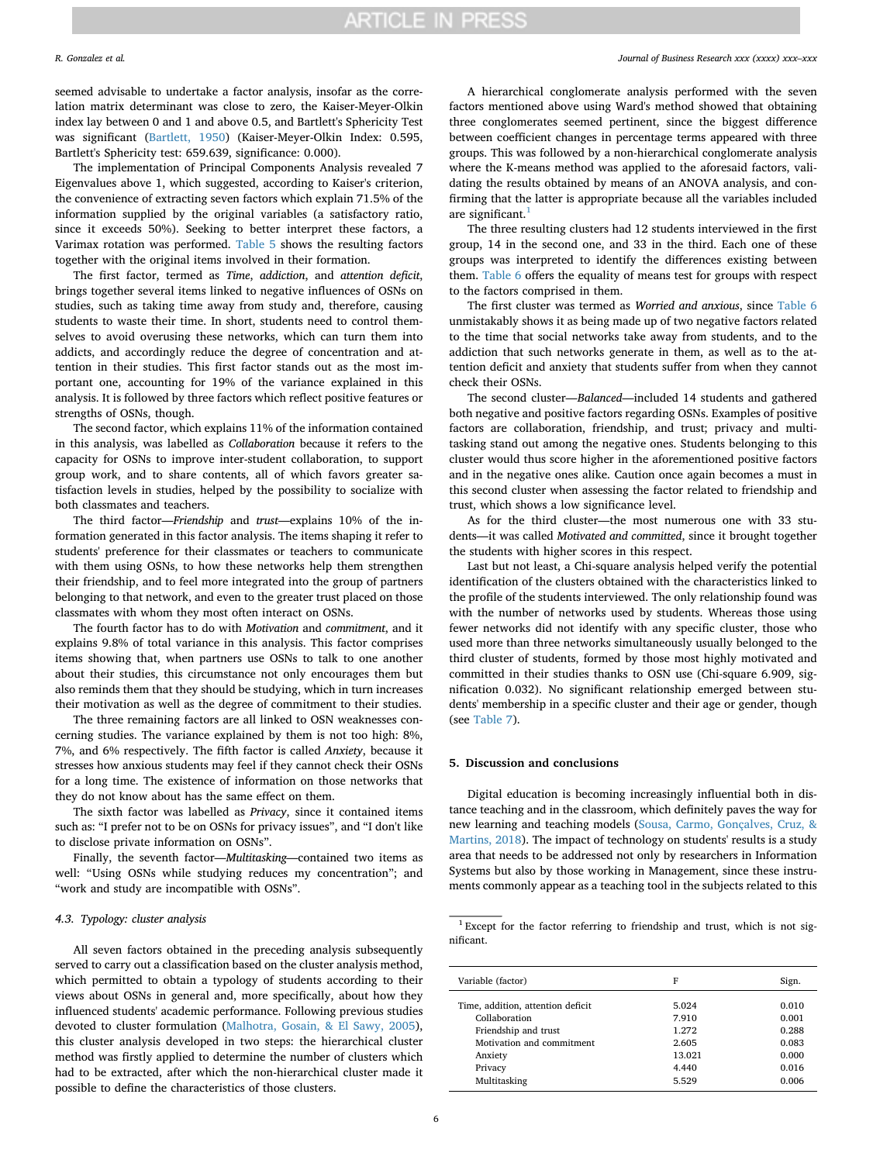seemed advisable to undertake a factor analysis, insofar as the correlation matrix determinant was close to zero, the Kaiser-Meyer-Olkin index lay between 0 and 1 and above 0.5, and Bartlett's Sphericity Test was significant ([Bartlett, 1950\)](#page-7-43) (Kaiser-Meyer-Olkin Index: 0.595, Bartlett's Sphericity test: 659.639, significance: 0.000).

The implementation of Principal Components Analysis revealed 7 Eigenvalues above 1, which suggested, according to Kaiser's criterion, the convenience of extracting seven factors which explain 71.5% of the information supplied by the original variables (a satisfactory ratio, since it exceeds 50%). Seeking to better interpret these factors, a Varimax rotation was performed. [Table 5](#page-4-0) shows the resulting factors together with the original items involved in their formation.

The first factor, termed as *Time*, *addiction*, and *attention deficit*, brings together several items linked to negative influences of OSNs on studies, such as taking time away from study and, therefore, causing students to waste their time. In short, students need to control themselves to avoid overusing these networks, which can turn them into addicts, and accordingly reduce the degree of concentration and attention in their studies. This first factor stands out as the most important one, accounting for 19% of the variance explained in this analysis. It is followed by three factors which reflect positive features or strengths of OSNs, though.

The second factor, which explains 11% of the information contained in this analysis, was labelled as *Collaboration* because it refers to the capacity for OSNs to improve inter-student collaboration, to support group work, and to share contents, all of which favors greater satisfaction levels in studies, helped by the possibility to socialize with both classmates and teachers.

The third factor—*Friendship* and *trust*—explains 10% of the information generated in this factor analysis. The items shaping it refer to students' preference for their classmates or teachers to communicate with them using OSNs, to how these networks help them strengthen their friendship, and to feel more integrated into the group of partners belonging to that network, and even to the greater trust placed on those classmates with whom they most often interact on OSNs.

The fourth factor has to do with *Motivation* and *commitment*, and it explains 9.8% of total variance in this analysis. This factor comprises items showing that, when partners use OSNs to talk to one another about their studies, this circumstance not only encourages them but also reminds them that they should be studying, which in turn increases their motivation as well as the degree of commitment to their studies.

The three remaining factors are all linked to OSN weaknesses concerning studies. The variance explained by them is not too high: 8%, 7%, and 6% respectively. The fifth factor is called *Anxiety*, because it stresses how anxious students may feel if they cannot check their OSNs for a long time. The existence of information on those networks that they do not know about has the same effect on them.

The sixth factor was labelled as *Privacy*, since it contained items such as: "I prefer not to be on OSNs for privacy issues", and "I don't like to disclose private information on OSNs".

Finally, the seventh factor—*Multitasking*—contained two items as well: "Using OSNs while studying reduces my concentration"; and "work and study are incompatible with OSNs".

### *4.3. Typology: cluster analysis*

All seven factors obtained in the preceding analysis subsequently served to carry out a classification based on the cluster analysis method, which permitted to obtain a typology of students according to their views about OSNs in general and, more specifically, about how they influenced students' academic performance. Following previous studies devoted to cluster formulation [\(Malhotra, Gosain, & El Sawy, 2005](#page-7-44)), this cluster analysis developed in two steps: the hierarchical cluster method was firstly applied to determine the number of clusters which had to be extracted, after which the non-hierarchical cluster made it possible to define the characteristics of those clusters.

#### *R. Gonzalez et al. Journal of Business Research xxx (xxxx) xxx–xxx*

A hierarchical conglomerate analysis performed with the seven factors mentioned above using Ward's method showed that obtaining three conglomerates seemed pertinent, since the biggest difference between coefficient changes in percentage terms appeared with three groups. This was followed by a non-hierarchical conglomerate analysis where the K-means method was applied to the aforesaid factors, validating the results obtained by means of an ANOVA analysis, and confirming that the latter is appropriate because all the variables included are significant. $<sup>1</sup>$  $<sup>1</sup>$  $<sup>1</sup>$ </sup>

The three resulting clusters had 12 students interviewed in the first group, 14 in the second one, and 33 in the third. Each one of these groups was interpreted to identify the differences existing between them. [Table 6](#page-6-0) offers the equality of means test for groups with respect to the factors comprised in them.

The first cluster was termed as *Worried and anxious*, since [Table 6](#page-6-0) unmistakably shows it as being made up of two negative factors related to the time that social networks take away from students, and to the addiction that such networks generate in them, as well as to the attention deficit and anxiety that students suffer from when they cannot check their OSNs.

The second cluster—*Balanced*—included 14 students and gathered both negative and positive factors regarding OSNs. Examples of positive factors are collaboration, friendship, and trust; privacy and multitasking stand out among the negative ones. Students belonging to this cluster would thus score higher in the aforementioned positive factors and in the negative ones alike. Caution once again becomes a must in this second cluster when assessing the factor related to friendship and trust, which shows a low significance level.

As for the third cluster—the most numerous one with 33 students—it was called *Motivated and committed*, since it brought together the students with higher scores in this respect.

Last but not least, a Chi-square analysis helped verify the potential identification of the clusters obtained with the characteristics linked to the profile of the students interviewed. The only relationship found was with the number of networks used by students. Whereas those using fewer networks did not identify with any specific cluster, those who used more than three networks simultaneously usually belonged to the third cluster of students, formed by those most highly motivated and committed in their studies thanks to OSN use (Chi-square 6.909, signification 0.032). No significant relationship emerged between students' membership in a specific cluster and their age or gender, though (see [Table 7\)](#page-6-1).

#### **5. Discussion and conclusions**

Digital education is becoming increasingly influential both in distance teaching and in the classroom, which definitely paves the way for new learning and teaching models ([Sousa, Carmo, Gonçalves, Cruz, &](#page-7-45) [Martins, 2018\)](#page-7-45). The impact of technology on students' results is a study area that needs to be addressed not only by researchers in Information Systems but also by those working in Management, since these instruments commonly appear as a teaching tool in the subjects related to this

#### <span id="page-5-0"></span> $1$  Except for the factor referring to friendship and trust, which is not significant.

| Variable (factor)                 | F      | Sign. |
|-----------------------------------|--------|-------|
| Time, addition, attention deficit | 5.024  | 0.010 |
| Collaboration                     | 7.910  | 0.001 |
|                                   |        |       |
| Friendship and trust              | 1.272  | 0.288 |
| Motivation and commitment         | 2.605  | 0.083 |
| Anxiety                           | 13.021 | 0.000 |
| Privacy                           | 4.440  | 0.016 |
| Multitasking                      | 5.529  | 0.006 |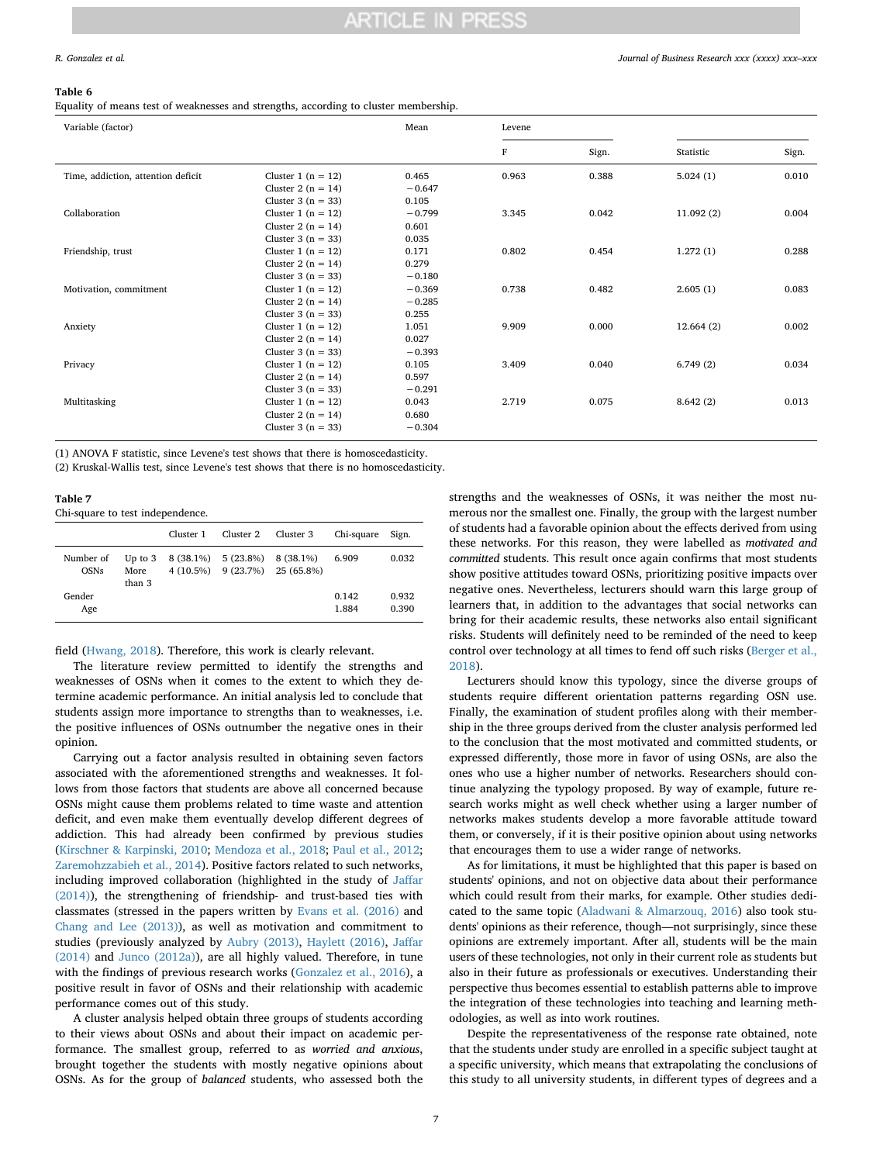#### <span id="page-6-0"></span>**Table 6**

Equality of means test of weaknesses and strengths, according to cluster membership.

| Variable (factor)                  |                        | Mean     | Levene |       |           |       |
|------------------------------------|------------------------|----------|--------|-------|-----------|-------|
|                                    |                        |          | F      | Sign. | Statistic | Sign. |
| Time, addiction, attention deficit | Cluster 1 ( $n = 12$ ) | 0.465    | 0.963  | 0.388 | 5.024(1)  | 0.010 |
|                                    | Cluster 2 ( $n = 14$ ) | $-0.647$ |        |       |           |       |
|                                    | Cluster $3(n = 33)$    | 0.105    |        |       |           |       |
| Collaboration                      | Cluster 1 ( $n = 12$ ) | $-0.799$ | 3.345  | 0.042 | 11.092(2) | 0.004 |
|                                    | Cluster 2 ( $n = 14$ ) | 0.601    |        |       |           |       |
|                                    | Cluster $3(n = 33)$    | 0.035    |        |       |           |       |
| Friendship, trust                  | Cluster 1 $(n = 12)$   | 0.171    | 0.802  | 0.454 | 1.272(1)  | 0.288 |
|                                    | Cluster 2 ( $n = 14$ ) | 0.279    |        |       |           |       |
|                                    | Cluster 3 ( $n = 33$ ) | $-0.180$ |        |       |           |       |
| Motivation, commitment             | Cluster 1 $(n = 12)$   | $-0.369$ | 0.738  | 0.482 | 2.605(1)  | 0.083 |
|                                    | Cluster 2 ( $n = 14$ ) | $-0.285$ |        |       |           |       |
|                                    | Cluster $3(n = 33)$    | 0.255    |        |       |           |       |
| Anxiety                            | Cluster 1 $(n = 12)$   | 1.051    | 9.909  | 0.000 | 12.664(2) | 0.002 |
|                                    | Cluster 2 ( $n = 14$ ) | 0.027    |        |       |           |       |
|                                    | Cluster $3(n = 33)$    | $-0.393$ |        |       |           |       |
| Privacy                            | Cluster 1 ( $n = 12$ ) | 0.105    | 3.409  | 0.040 | 6.749(2)  | 0.034 |
|                                    | Cluster 2 ( $n = 14$ ) | 0.597    |        |       |           |       |
|                                    | Cluster $3(n = 33)$    | $-0.291$ |        |       |           |       |
| Multitasking                       | Cluster 1 $(n = 12)$   | 0.043    | 2.719  | 0.075 | 8.642(2)  | 0.013 |
|                                    | Cluster 2 ( $n = 14$ ) | 0.680    |        |       |           |       |
|                                    | Cluster $3(n = 33)$    | $-0.304$ |        |       |           |       |

(1) ANOVA F statistic, since Levene's test shows that there is homoscedasticity.

(2) Kruskal-Wallis test, since Levene's test shows that there is no homoscedasticity.

<span id="page-6-1"></span>**Table 7**

Chi-square to test independence.

|                          |                                    | Cluster 1 | Cluster 2               | Cluster 3                                   | Chi-square     | Sign.          |
|--------------------------|------------------------------------|-----------|-------------------------|---------------------------------------------|----------------|----------------|
| Number of<br><b>OSNs</b> | Up to $3$<br><b>More</b><br>than 3 |           | $8(38.1\%)$ $5(23.8\%)$ | 8 (38.1%)<br>4 (10.5%) 9 (23.7%) 25 (65.8%) | 6.909          | 0.032          |
| Gender<br>Age            |                                    |           |                         |                                             | 0.142<br>1.884 | 0.932<br>0.390 |

field [\(Hwang, 2018\)](#page-7-46). Therefore, this work is clearly relevant.

The literature review permitted to identify the strengths and weaknesses of OSNs when it comes to the extent to which they determine academic performance. An initial analysis led to conclude that students assign more importance to strengths than to weaknesses, i.e. the positive influences of OSNs outnumber the negative ones in their opinion.

Carrying out a factor analysis resulted in obtaining seven factors associated with the aforementioned strengths and weaknesses. It follows from those factors that students are above all concerned because OSNs might cause them problems related to time waste and attention deficit, and even make them eventually develop different degrees of addiction. This had already been confirmed by previous studies ([Kirschner & Karpinski, 2010;](#page-7-23) [Mendoza et al., 2018](#page-7-35); [Paul et al., 2012](#page-7-27); [Zaremohzzabieh et al., 2014](#page-7-33)). Positive factors related to such networks, including improved collaboration (highlighted in the study of [Jaffar](#page-7-18) [\(2014\)\)](#page-7-18), the strengthening of friendship- and trust-based ties with classmates (stressed in the papers written by [Evans et al. \(2016\)](#page-7-1) and [Chang and Lee \(2013\)\)](#page-7-10), as well as motivation and commitment to studies (previously analyzed by [Aubry \(2013\)](#page-7-9), [Haylett \(2016\),](#page-7-15) [Jaffar](#page-7-18) [\(2014\)](#page-7-18) and [Junco \(2012a\)](#page-7-20)), are all highly valued. Therefore, in tune with the findings of previous research works ([Gonzalez et al., 2016\)](#page-7-13), a positive result in favor of OSNs and their relationship with academic performance comes out of this study.

A cluster analysis helped obtain three groups of students according to their views about OSNs and about their impact on academic performance. The smallest group, referred to as *worried and anxious*, brought together the students with mostly negative opinions about OSNs. As for the group of *balanced* students, who assessed both the strengths and the weaknesses of OSNs, it was neither the most numerous nor the smallest one. Finally, the group with the largest number of students had a favorable opinion about the effects derived from using these networks. For this reason, they were labelled as *motivated and committed* students. This result once again confirms that most students show positive attitudes toward OSNs, prioritizing positive impacts over negative ones. Nevertheless, lecturers should warn this large group of learners that, in addition to the advantages that social networks can bring for their academic results, these networks also entail significant risks. Students will definitely need to be reminded of the need to keep control over technology at all times to fend off such risks ([Berger et al.,](#page-7-32) [2018\)](#page-7-32).

Lecturers should know this typology, since the diverse groups of students require different orientation patterns regarding OSN use. Finally, the examination of student profiles along with their membership in the three groups derived from the cluster analysis performed led to the conclusion that the most motivated and committed students, or expressed differently, those more in favor of using OSNs, are also the ones who use a higher number of networks. Researchers should continue analyzing the typology proposed. By way of example, future research works might as well check whether using a larger number of networks makes students develop a more favorable attitude toward them, or conversely, if it is their positive opinion about using networks that encourages them to use a wider range of networks.

As for limitations, it must be highlighted that this paper is based on students' opinions, and not on objective data about their performance which could result from their marks, for example. Other studies dedicated to the same topic ([Aladwani & Almarzouq, 2016](#page-7-3)) also took students' opinions as their reference, though—not surprisingly, since these opinions are extremely important. After all, students will be the main users of these technologies, not only in their current role as students but also in their future as professionals or executives. Understanding their perspective thus becomes essential to establish patterns able to improve the integration of these technologies into teaching and learning methodologies, as well as into work routines.

Despite the representativeness of the response rate obtained, note that the students under study are enrolled in a specific subject taught at a specific university, which means that extrapolating the conclusions of this study to all university students, in different types of degrees and a